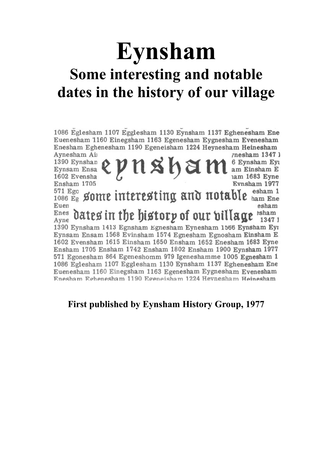## **Eynsham**

## **Some interesting and notable dates in the history of our village**

1086 Eglesham 1107 Egglesham 1130 Eynsham 1137 Eghenesham Ene Euenesham 1160 Einegsham 1163 Egenesham Eygnesham Evenesham Enesham Eghenesham 1190 Egeneisham 1224 Heynesham Heinesham

Aynesham Air *rnesham* 1347 1 Eynsam Ensa & P N S h S M am Einsham Ey Evnsham 1977 Ensham 1705  $_{1086 E_g}^{571 E_{g0}}$  gome interesting and notable  $_{\text{ham Ene}}^{671 E_{g0}}$ Euen esham  $_{\text{Aven}}^{\text{Enes}}$  dates in the history of our billage  $_{\text{1347}}^{\text{Ehees}}$ Ayne 1347 1 1390 Eynsham 1413 Egnsham Egnesham Eynesham 1566 Eynsham Eyr Eynsam Ensam 1568 Evinsham 1574 Egnesham Egnosham Einsham E 1602 Evensham 1615 Einsham 1650 Ensham 1652 Enesham 1683 Eyne Ensham 1705 Ensham 1742 Ensham 1802 Ensham 1900 Eynsham 1977 571 Egonesham 864 Egeneshomm 979 Igeneshamme 1005 Egnesham 1 1086 Eglesham 1107 Egglesham 1130 Eynsham 1137 Eghenesham Ene Euenesham 1160 Einegsham 1163 Egenesham Eygnesham Evenesham Enesham Eghenesham 1190 Egeneisham 1224 Hevnesham Heinesham

## **First published by Eynsham History Group, 1977**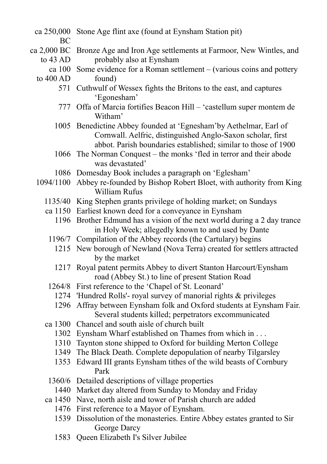- ca 250,000 Stone Age flint axe (found at Eynsham Station pit)
	- BC
- ca 2,000 BC Bronze Age and Iron Age settlements at Farmoor, New Wintles, and to  $43$  AD probably also at Eynsham
	- ca 100 Some evidence for a Roman settlement (various coins and pottery
	- to 400 AD found)
		- 571 Cuthwulf of Wessex fights the Britons to the east, and captures 'Egonesham'
		- 777 Offa of Marcia fortifies Beacon Hill 'castellum super montem de Witham'
		- 1005 Benedictine Abbey founded at 'Egnesham'by Aethelmar, Earl of Cornwall. Aelfric, distinguished Anglo-Saxon scholar, first abbot. Parish boundaries established; similar to those of 1900
		- 1066 The Norman Conquest the monks 'fled in terror and their abode was devastated'
		- 1086 Domesday Book includes a paragraph on 'Eglesham'
	- 1094/1100 Abbey re-founded by Bishop Robert Bloet, with authority from King William Rufus
		- 1135/40 King Stephen grants privilege of holding market; on Sundays
		- ca 1150 Earliest known deed for a conveyance in Eynsham
			- 1196 Brother Edmund has a vision of the next world during a 2 day trance in Holy Week; allegedly known to and used by Dante
			- 1196/7 Compilation of the Abbey records (the Cartulary) begins
				- 1215 New borough of Newland (Nova Terra) created for settlers attracted by the market
				- 1217 Royal patent permits Abbey to divert Stanton Harcourt/Eynsham road (Abbey St.) to line of present Station Road
		- 1264/8 First reference to the 'Chapel of St. Leonard'
			- 1274 'Hundred Rolls'- royal survey of manorial rights & privileges
			- 1296 Affray between Eynsham folk and Oxford students at Eynsham Fair. Several students killed; perpetrators excommunicated
		- ca 1300 Chancel and south aisle of church built
			- 1302 Eynsham Wharf established on Thames from which in . . .
			- 1310 Taynton stone shipped to Oxford for building Merton College
			- 1349 The Black Death. Complete depopulation of nearby Tilgarsley
			- 1353 Edward III grants Eynsham tithes of the wild beasts of Cornbury Park
			- 1360/6 Detailed descriptions of village properties
				- 1440 Market day altered from Sunday to Monday and Friday
		- ca 1450 Nave, north aisle and tower of Parish church are added
			- 1476 First reference to a Mayor of Eynsham.
			- 1539 Dissolution of the monasteries. Entire Abbey estates granted to Sir George Darcy
			- 1583 Queen Elizabeth I's Silver Jubilee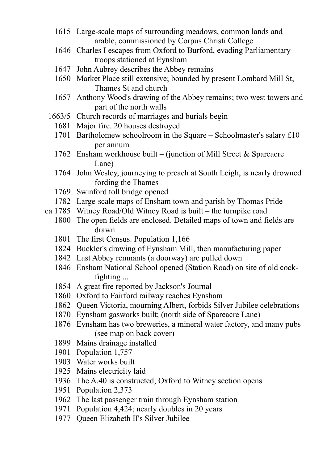- Large-scale maps of surrounding meadows, common lands and arable, commissioned by Corpus Christi College
- Charles I escapes from Oxford to Burford, evading Parliamentary troops stationed at Eynsham
- John Aubrey describes the Abbey remains
- Market Place still extensive; bounded by present Lombard Mill St, Thames St and church
- Anthony Wood's drawing of the Abbey remains; two west towers and part of the north walls
- 1663/5 Church records of marriages and burials begin
	- Major fire. 20 houses destroyed
	- Bartholomew schoolroom in the Square Schoolmaster's salary £10 per annum
	- Ensham workhouse built (junction of Mill Street & Spareacre Lane)
	- John Wesley, journeying to preach at South Leigh, is nearly drowned fording the Thames
	- Swinford toll bridge opened
- Large-scale maps of Ensham town and parish by Thomas Pride
- ca 1785 Witney Road/Old Witney Road is built the turnpike road
	- The open fields are enclosed. Detailed maps of town and fields are drawn
		- The first Census. Population 1,166
		- Buckler's drawing of Eynsham Mill, then manufacturing paper
		- Last Abbey remnants (a doorway) are pulled down
		- Ensham National School opened (Station Road) on site of old cockfighting ...
		- A great fire reported by Jackson's Journal
		- Oxford to Fairford railway reaches Eynsham
		- Queen Victoria, mourning Albert, forbids Silver Jubilee celebrations
		- Eynsham gasworks built; (north side of Spareacre Lane)
		- Eynsham has two breweries, a mineral water factory, and many pubs (see map on back cover)
		- Mains drainage installed
		- Population 1,757
		- Water works built
		- Mains electricity laid
		- The A.40 is constructed; Oxford to Witney section opens
		- Population 2,373
		- The last passenger train through Eynsham station
		- Population 4,424; nearly doubles in 20 years
		- Queen Elizabeth II's Silver Jubilee